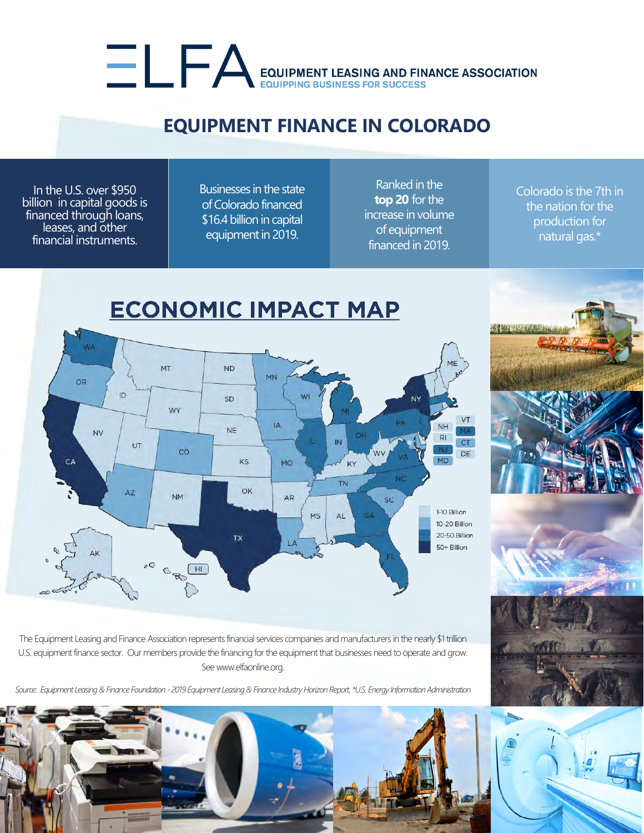## EQUIPMENT LEASING AND FINANCE ASSOCIATION

## **EQUIPMENT FINANCE IN COLORADO**

In the U.S. over \$950 billion in capital goods is financed through loans, leases, and other financial instruments.

Businesses in the state of Colorado financed \$16.4 billion in capital equipment in 2019.

Ranked in the **top 20** for the increase in volume of equipment financed in 2019.

Colorado is the 7th in the nation for the production for natural gas.\*





The Equipment Leasing and Finance Association represents financial services companies and manufacturers in the nearly \$1 trillion U.S. equipment finance sector. Our members provide the financing for the equipment that businesses need to operate and grow. See www.elfaonline.org.

*Source: Equipment Leasing & Finance Foundation - 2019 Equipment Leasing & Finance Industry Horizon Report, \*U.S. Energy Information Administration*